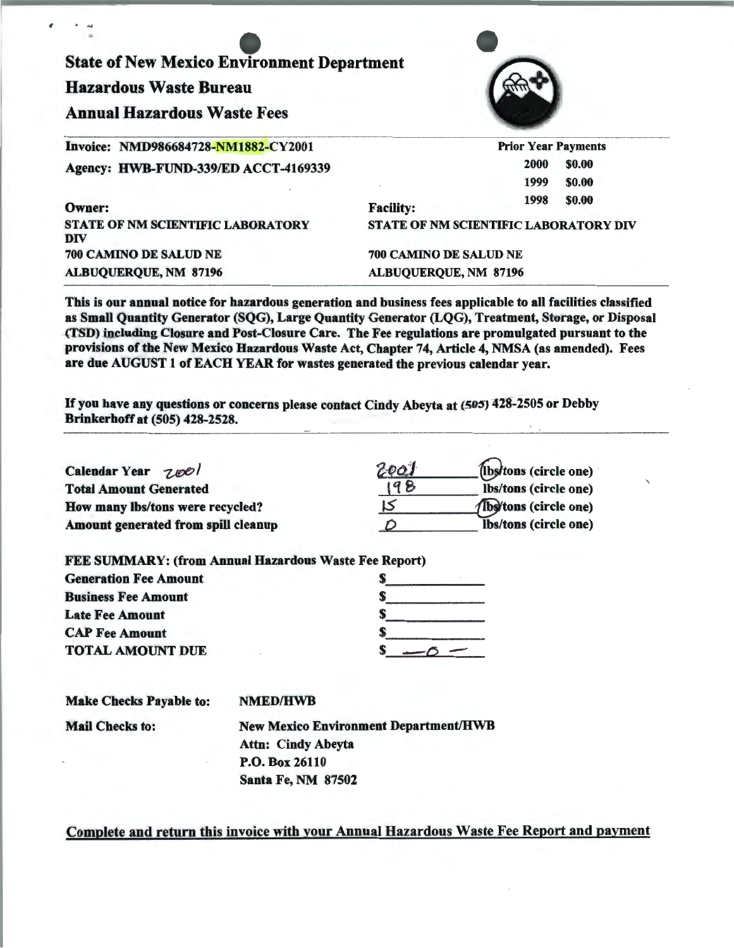State of New Mexico Environment Department Hazardous Waste Bureau Annual Hazardous Waste Fees Invoice: NMD986684728-NM1882-CY2001 Agency: HWB-FUND-339/ED ACCT-4169339 Owner: STATE OF NM SCIENTIFIC LABORATORY DIV 700 CAMINO DE SALUD NE Prior Year Payments Facility: 2000 \$0.00 1999 1998 \$0.00 \$0.00 STATE OF NM SCIENTIFIC LABORATORY DIV 700 CAMINO DE SALUD NE ALBUQUERQUE, NM 87196

This is our annual notice for hazardous generation and business fees applicable to all facilities classified as Small Quantity Generator (SQG), Large Quantity Generator (LQG), Treatment, Storage, or Disposal (TSD) including Closure and Post-Closure Care. The Fee regulations are promulgated pursuant to the provisions of the New Mexico Hazardous Waste Act, Chapter 74, Article 4, NMSA (as amended). Fees are due AUGUST 1 of EACH YEAR for wastes generated the previous calendar year.

If you have any questions or concerns please contact Cindy Abeyta at (505) 428-2505 or Debby Brinkerhoff at (505) 428-2528.

| Calendar Year 7001                  | 20oJ | (ibs/tons (circle one)               |
|-------------------------------------|------|--------------------------------------|
| <b>Total Amount Generated</b>       | 198  | lbs/tons (circle one)                |
| How many lbs/tons were recycled?    |      | <b><i>(Ibs)</i>tons</b> (circle one) |
| Amount generated from spill cleanup |      | Ibs/tons (circle one)                |

ALBUQUERQUE, NM 87196

| <b>FEE SUMMARY: (from Annual Hazardous Waste Fee Report)</b> |  |
|--------------------------------------------------------------|--|
| <b>Generation Fee Amount</b>                                 |  |
| <b>Business Fee Amount</b>                                   |  |
| <b>Late Fee Amount</b>                                       |  |
| <b>CAP Fee Amount</b>                                        |  |
| <b>TOTAL AMOUNT DUE</b>                                      |  |

| <b>Make Checks Payable to:</b> | <b>NMED/HWB</b>                              |
|--------------------------------|----------------------------------------------|
| <b>Mail Checks to:</b>         | <b>New Mexico Environment Department/HWB</b> |
|                                | <b>Attn: Cindy Abeyta</b>                    |
|                                | P.O. Box 26110                               |
|                                | <b>Santa Fe, NM 87502</b>                    |

Complete and return this invoice with your Annual Hazardous Waste Fee Report and payment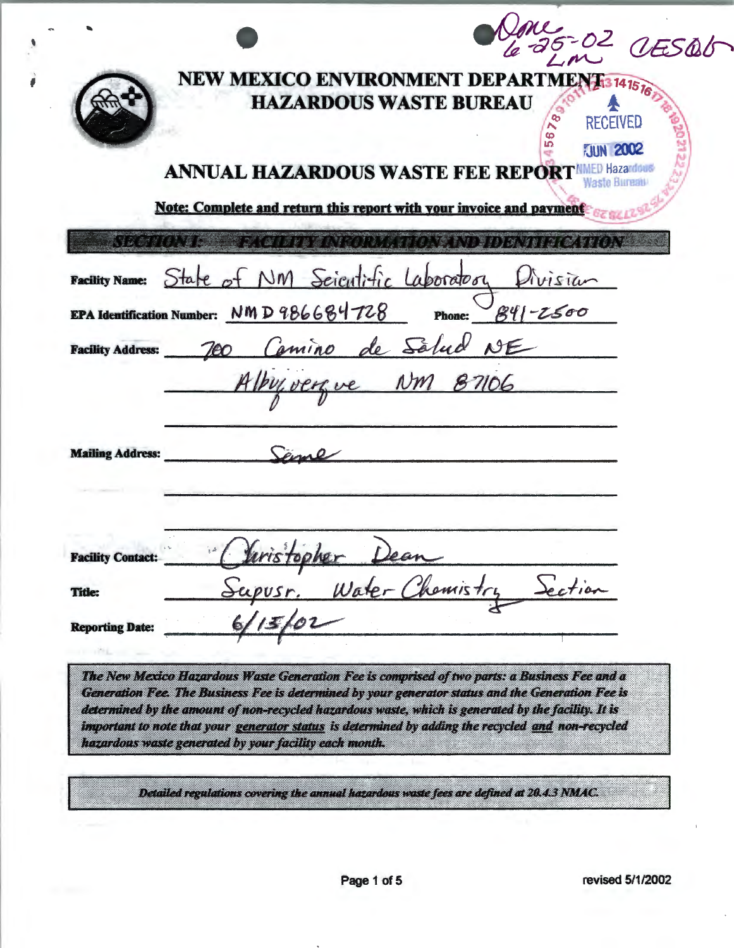|                                                   | NEW MEXICO ENVIRONMENT DEPARTMENT 3741576                                                                                                                                                                                                                                                                                                                                                                       | <b>HAZARDOUS WASTE BUREAU</b> | 789<br><b>RECEIVED</b><br>56<br><b>JUN 2002</b> |  |
|---------------------------------------------------|-----------------------------------------------------------------------------------------------------------------------------------------------------------------------------------------------------------------------------------------------------------------------------------------------------------------------------------------------------------------------------------------------------------------|-------------------------------|-------------------------------------------------|--|
|                                                   | <b>ANNUAL HAZARDOUS WASTE FEE REPORT MMED Hazardous</b>                                                                                                                                                                                                                                                                                                                                                         |                               | Waste Bureat                                    |  |
|                                                   | Note: Complete and return this report with your invoice and payment                                                                                                                                                                                                                                                                                                                                             |                               |                                                 |  |
| Nash (Cler                                        |                                                                                                                                                                                                                                                                                                                                                                                                                 | EE SALE FANGULA SALAN DI D    |                                                 |  |
|                                                   | Facility Name: State of NM Scientific Laboratory                                                                                                                                                                                                                                                                                                                                                                |                               | Avisian                                         |  |
|                                                   | EPA Identification Number: NMD 986684728                                                                                                                                                                                                                                                                                                                                                                        | Phone: $841 - 2500$           |                                                 |  |
| <b>Facility Address:</b>                          |                                                                                                                                                                                                                                                                                                                                                                                                                 |                               |                                                 |  |
|                                                   | 700 Comino de Salud NE                                                                                                                                                                                                                                                                                                                                                                                          |                               |                                                 |  |
| <b>Mailing Address:</b>                           |                                                                                                                                                                                                                                                                                                                                                                                                                 |                               |                                                 |  |
| of the particular for<br><b>Facility Contact:</b> | $\mathcal{N}$ $\mathcal{N}$ $\mathcal{N}$ $\mathcal{N}$                                                                                                                                                                                                                                                                                                                                                         |                               |                                                 |  |
| <b>Title:</b>                                     |                                                                                                                                                                                                                                                                                                                                                                                                                 | . Water Chamist.              |                                                 |  |
| <b>Reporting Date:</b>                            |                                                                                                                                                                                                                                                                                                                                                                                                                 |                               |                                                 |  |
|                                                   | The New Mexico Hazardous Waste Generation Fee is comprised of two parts: a Business Fee and a<br>Generation Fee. The Business Fee is determined by your generator status and the Generation Fee is<br>determined by the amount of non-recycled hazardous waste, which is generated by the facility. It is<br>important to note that your generator status is determined by adding the recycled and non-recycled |                               |                                                 |  |

٠

₽

Detailed regulations covering the annual hazardous waste fees are defined at 20.4.3 NMAC.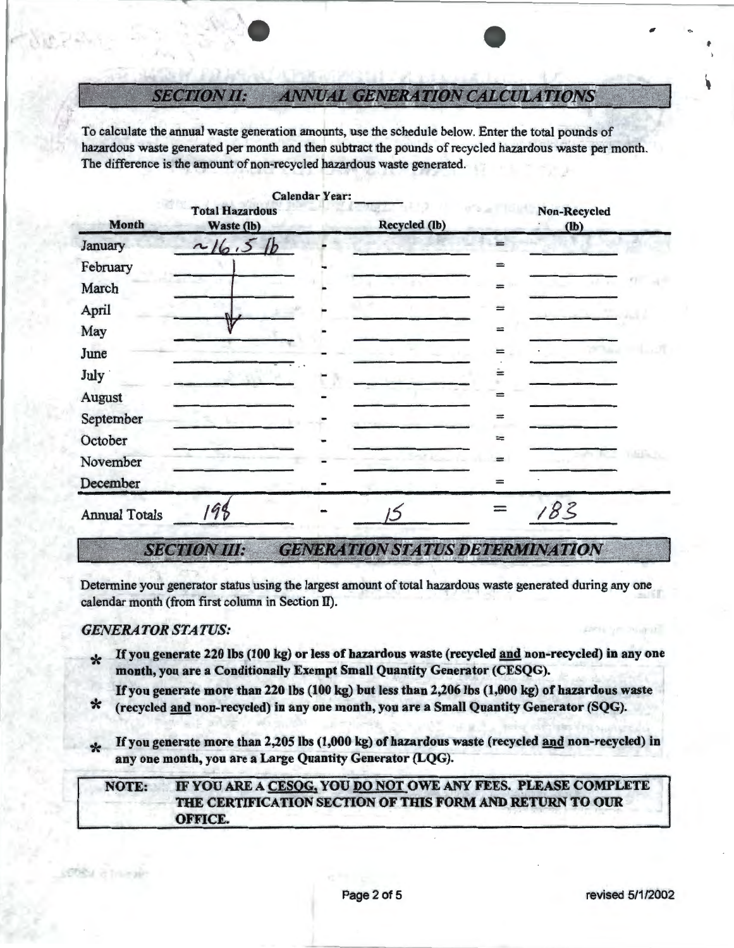#### **ANNUAL GENERATION CALCULATIONS** *SECTION II:*

To calculate the annual waste generation amounts, use the schedule below. Enter the total pounds of hazardous waste generated per month and then subtract the pounds of recycled hazardous waste per month. The difference is the amount of non-recycled hazardous waste generated.

|                      |                                      | <b>Calendar Year:</b> |               |     |                        |  |
|----------------------|--------------------------------------|-----------------------|---------------|-----|------------------------|--|
| <b>Month</b>         | <b>Total Hazardous</b><br>Waste (lb) |                       | Recycled (lb) |     | Non-Recycled<br>$(lb)$ |  |
| January              | 16.5                                 |                       |               |     |                        |  |
| February             |                                      |                       |               | $=$ |                        |  |
| March                |                                      |                       |               | $=$ |                        |  |
| April                |                                      |                       |               | $=$ |                        |  |
| May                  |                                      |                       |               | $=$ |                        |  |
| June                 |                                      |                       |               | ≕   |                        |  |
| July                 |                                      |                       |               | ≐   |                        |  |
| August               |                                      |                       |               | ≕   |                        |  |
| September            |                                      |                       |               | $=$ |                        |  |
| October              |                                      |                       |               | $=$ |                        |  |
| November             |                                      |                       |               |     |                        |  |
| December             |                                      |                       |               | $=$ |                        |  |
| <b>Annual Totals</b> | 98                                   |                       |               |     | 83                     |  |

*SECTION III:*  **GENERATION STATUS DETERMINATION** 

Determine your generator status using the largest amount of total hazardous waste generated during any one calendar month (from first column in Section II).

### *GENERATOR STATUS:*

**POST** of Trium

- \* If you generate 220 lbs (100 kg) or less of hazardous waste (recycled and non-recycled) in any one month, you are a Conditionally Exempt Small Quantity Generator (CESQG).
- If you generate more than 220 lbs (100 kg) but less than 2,206 lbs (1,000 kg) of hazardous waste<br>\* (recycled and non-recycled) in any one month, you are a Small Quantity Generator (SQG).
- 
- If you generate more than 2,205 lbs (1,000 kg) of hazardous waste (recycled and non-recycled) in any one month, you are a Large Quantity Generator (LQG).

## NOTE: IF YOU ARE A CESOG, YOU DO NOT OWE ANY FEES. PLEASE COMPLETE THE CERTIFICATION SECTION OF THIS FORM AND RETURN TO OUR OFFICE.

..

f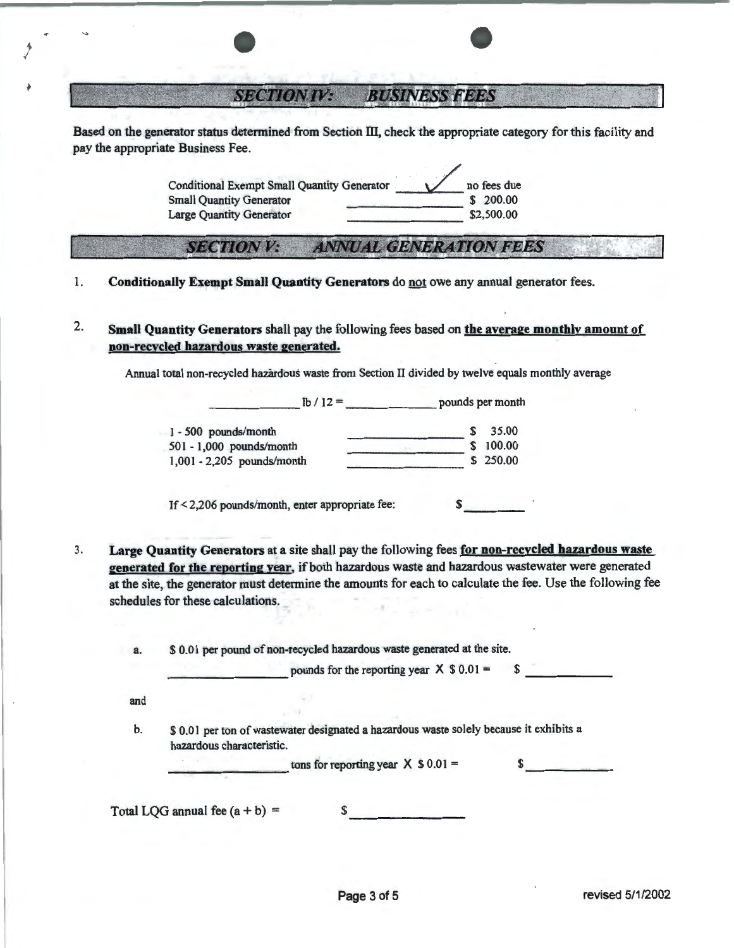**SECTION IV: BUSINESS FEES** 

.. I

> Based on the generator status determined from Section III, check the appropriate category for this facility and pay the appropriate Business Fee.

> > Conditional Exempt Small Quantity Generator 1 no fees due<br>
> > Small Quantity Generator 5 200.00 Conditional Exempt Small Quantity Generator<br>
> > Small Quantity Generator<br>
> > Large Quantity Generator<br>  $\overline{\phantom{25.2500000}}$ <br>
> > S2,500.00

# **SECTION V: ANNUAL GENERATION FEES**

- 1. Conditionally Exempt Small Quantity Generators do not owe any annual generator fees.
- 2. Small Quantity Generators shall pay the following fees based on the average monthly amount of non-recycled hazardous waste generated.

Annual total non-recycled hazardous waste from Section II divided by twelve equals monthly average

 $lb / 12 =$  pounds per month 1 - 500 pounds/month 501 - 1,000 pounds/month 1,001 - 2,205 pounds/month  $\frac{\text{100.00}}{\text{100.00}}$  $\frac{\text{3} \times 100.00}{\text{5} \times 250.00}$ 

If  $\leq$  2,206 pounds/month, enter appropriate fee:  $\qquad$  \$

3. Large Quantity Generators at a site shall pay the following fees for non-recycled hazardous waste generated for the reporting year, if both hazardous waste and hazardous wastewater were generated at the site, the generator must determine the amounts for each to calculate the fee. Use the following fee schedules for these calculations.

a.  $$ 0.01$  per pound of non-recycled hazardous waste generated at the site.<br>pounds for the reporting year  $X$  \$ 0.01 = \$ and b. \$ 0.0 I per ton of wastewater designated a hazardous waste solely because it exhibits a hazardous characteristic. tons for reporting year  $X$  \$ 0.01 = ------ Total LQG annual fee  $(a + b) =$  \$ --------

1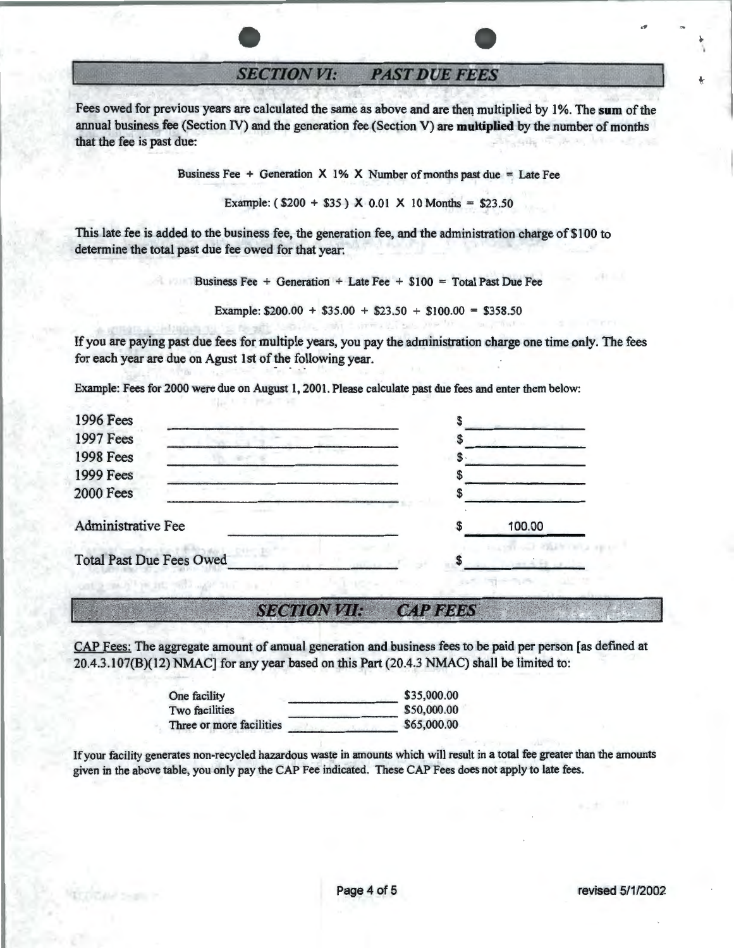**SECTION VI: PAST DUE FEES** 

Fees owed for previous years are calculated the same as above and are then multiplied by 1%. The sum of the annual business fee (Section IV) and the generation fee (Section V) are **multiplied** by the number of months that the fee is past due:

Business Fee  $+$  Generation X 1% X Number of months past due  $=$  Late Fee

Example:  $(S200 + S35)$  X 0.01 X 10 Months = \$23.50

This late fee is added to the business fee, the generation fee, and the administration charge of \$100 to determine the total past due fee owed for that year:

Business Fee + Generation + Late Fee + \$100 = Total Past Due Fee

Example:  $$200.00 + $35.00 + $23.50 + $100.00 = $358.50$ 

If you are paying past due fees for multiple years, you pay the administration charge one time only. The fees for each year are due on Agust 1st of the following year.

Example: Fees for 2000 were due on August 1, 2001. Please calculate past due fees and enter them below:

| <b>1996 Fees</b>                   |    |        |
|------------------------------------|----|--------|
| <b>1997 Fees</b>                   |    |        |
| <b>1998 Fees</b>                   | P. |        |
| <b>1999 Fees</b>                   |    |        |
| <b>2000 Fees</b>                   |    |        |
| Administrative Fee                 |    | 100.00 |
| <b>Total Past Due Fees Owed</b>    |    |        |
| THE R. P. LEWIS CO., LANSING MICH. |    |        |

#### *SQCTION VII: CAfFEE5*

CAP Fees: The aggregate amount of annual generation and business fees to be paid per person [as defined at 20.4.3.107(B)(12) NMAC] for any year based on this Part (20.4.3 NMAC) shall be limited to:

| One facility             | \$35,000.00 |
|--------------------------|-------------|
| Two facilities           | \$50,000.00 |
| Three or more facilities | \$65,000.00 |

If your facility generates non-recycled hazardous waste in amounts which will result in a total fee greater than the amounts given in the above table, you only pay the CAP Fee indicated. These CAP Fees does not apply to late fees.